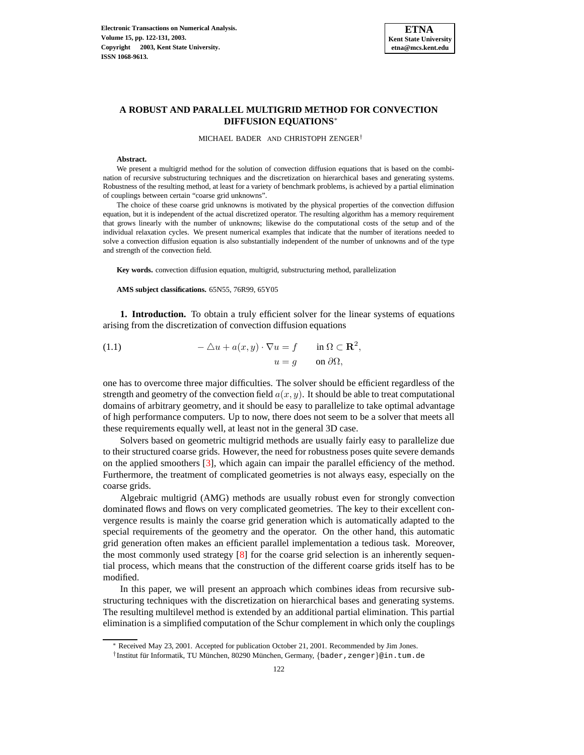

# **A ROBUST AND PARALLEL MULTIGRID METHOD FOR CONVECTION DIFFUSION EQUATIONS**<sup>∗</sup>

MICHAEL BADER AND CHRISTOPH ZENGER†

#### **Abstract.**

We present a multigrid method for the solution of convection diffusion equations that is based on the combination of recursive substructuring techniques and the discretization on hierarchical bases and generating systems. Robustness of the resulting method, at least for a variety of benchmark problems, is achieved by a partial elimination of couplings between certain "coarse grid unknowns".

The choice of these coarse grid unknowns is motivated by the physical properties of the convection diffusion equation, but it is independent of the actual discretized operator. The resulting algorithm has a memory requirement that grows linearly with the number of unknowns; likewise do the computational costs of the setup and of the individual relaxation cycles. We present numerical examples that indicate that the number of iterations needed to solve a convection diffusion equation is also substantially independent of the number of unknowns and of the type and strength of the convection field.

**Key words.** convection diffusion equation, multigrid, substructuring method, parallelization

**AMS subject classifications.** 65N55, 76R99, 65Y05

**1. Introduction.** To obtain a truly efficient solver for the linear systems of equations arising from the discretization of convection diffusion equations

<span id="page-0-0"></span>(1.1) 
$$
-\Delta u + a(x, y) \cdot \nabla u = f \quad \text{in } \Omega \subset \mathbf{R}^2,
$$

$$
u = g \quad \text{on } \partial \Omega,
$$

one has to overcome three major difficulties. The solver should be efficient regardless of the strength and geometry of the convection field  $a(x, y)$ . It should be able to treat computational domains of arbitrary geometry, and it should be easy to parallelize to take optimal advantage of high performance computers. Up to now, there does not seem to be a solver that meets all these requirements equally well, at least not in the general 3D case.

Solvers based on geometric multigrid methods are usually fairly easy to parallelize due to their structured coarse grids. However, the need for robustness poses quite severe demands on the applied smoothers [\[3\]](#page-9-0), which again can impair the parallel efficiency of the method. Furthermore, the treatment of complicated geometries is not always easy, especially on the coarse grids.

Algebraic multigrid (AMG) methods are usually robust even for strongly convection dominated flows and flows on very complicated geometries. The key to their excellent convergence results is mainly the coarse grid generation which is automatically adapted to the special requirements of the geometry and the operator. On the other hand, this automatic grid generation often makes an efficient parallel implementation a tedious task. Moreover, the most commonly used strategy [\[8\]](#page-9-1) for the coarse grid selection is an inherently sequential process, which means that the construction of the different coarse grids itself has to be modified.

In this paper, we will present an approach which combines ideas from recursive substructuring techniques with the discretization on hierarchical bases and generating systems. The resulting multilevel method is extended by an additional partial elimination. This partial elimination is a simplified computation of the Schur complement in which only the couplings

<sup>∗</sup> Received May 23, 2001. Accepted for publication October 21, 2001. Recommended by Jim Jones.

<sup>†</sup>Institut für Informatik, TU München, 80290 München, Germany, {bader, zenger}@in.tum.de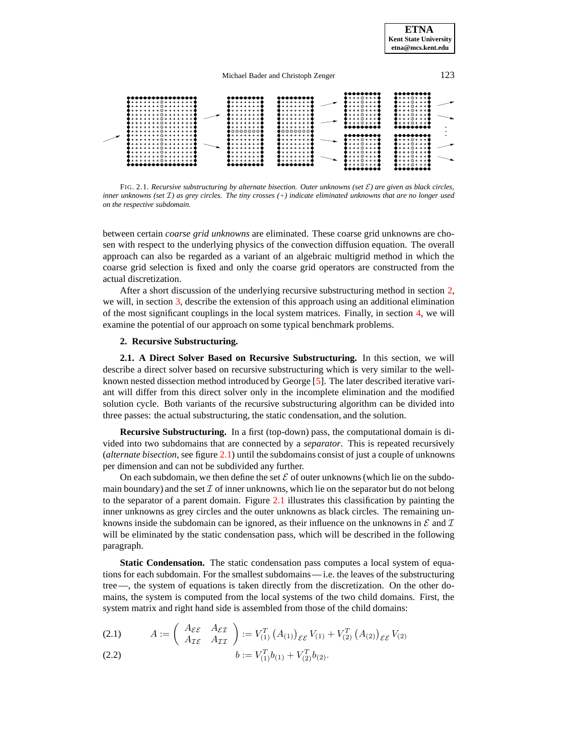

FIG. 2.1. *Recursive substructuring by alternate bisection. Outer unknowns (set* E*) are given as black circles,* inner unknowns (set  $\mathcal I$ ) as grey circles. The tiny crosses  $(+)$  indicate eliminated unknowns that are no longer used *on the respective subdomain.*

between certain *coarse grid unknowns* are eliminated. These coarse grid unknowns are chosen with respect to the underlying physics of the convection diffusion equation. The overall approach can also be regarded as a variant of an algebraic multigrid method in which the coarse grid selection is fixed and only the coarse grid operators are constructed from the actual discretization.

After a short discussion of the underlying recursive substructuring method in section [2,](#page-1-0) we will, in section [3,](#page-3-0) describe the extension of this approach using an additional elimination of the most significant couplings in the local system matrices. Finally, in section [4,](#page-6-0) we will examine the potential of our approach on some typical benchmark problems.

## **2. Recursive Substructuring.**

<span id="page-1-0"></span>**2.1. A Direct Solver Based on Recursive Substructuring.** In this section, we will describe a direct solver based on recursive substructuring which is very similar to the wellknown nested dissection method introduced by George [\[5\]](#page-9-2). The later described iterative variant will differ from this direct solver only in the incomplete elimination and the modified solution cycle. Both variants of the recursive substructuring algorithm can be divided into three passes: the actual substructuring, the static condensation, and the solution.

**Recursive Substructuring.** In a first (top-down) pass, the computational domain is divided into two subdomains that are connected by a *separator*. This is repeated recursively (*alternate bisection*, see figure [2.1\)](#page-6-1) until the subdomains consist of just a couple of unknowns per dimension and can not be subdivided any further.

On each subdomain, we then define the set  $\mathcal E$  of outer unknowns (which lie on the subdomain boundary) and the set  $\mathcal I$  of inner unknowns, which lie on the separator but do not belong to the separator of a parent domain. Figure [2.1](#page-6-1) illustrates this classification by painting the inner unknowns as grey circles and the outer unknowns as black circles. The remaining unknowns inside the subdomain can be ignored, as their influence on the unknowns in  $\mathcal E$  and  $\mathcal I$ will be eliminated by the static condensation pass, which will be described in the following paragraph.

**Static Condensation.** The static condensation pass computes a local system of equations for each subdomain. For the smallest subdomains— i.e. the leaves of the substructuring tree—, the system of equations is taken directly from the discretization. On the other domains, the system is computed from the local systems of the two child domains. First, the system matrix and right hand side is assembled from those of the child domains:

<span id="page-1-1"></span>(2.1) 
$$
A := \begin{pmatrix} A_{\mathcal{E}\mathcal{E}} & A_{\mathcal{E}\mathcal{I}} \\ A_{\mathcal{I}\mathcal{E}} & A_{\mathcal{I}\mathcal{I}} \end{pmatrix} := V_{(1)}^T \left( A_{(1)} \right)_{\mathcal{E}\mathcal{E}} V_{(1)} + V_{(2)}^T \left( A_{(2)} \right)_{\mathcal{E}\mathcal{E}} V_{(2)}
$$

$$
(2.2) \t\t b := V_{(1)}^T b_{(1)} + V_{(2)}^T b_{(2)}.
$$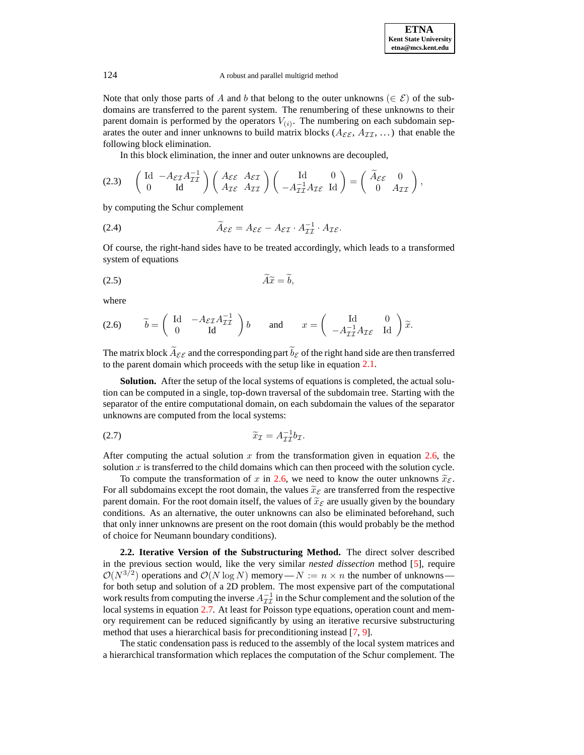#### 124 A robust and parallel multigrid method

Note that only those parts of A and b that belong to the outer unknowns ( $\in \mathcal{E}$ ) of the subdomains are transferred to the parent system. The renumbering of these unknowns to their parent domain is performed by the operators  $V_{(i)}$ . The numbering on each subdomain separates the outer and inner unknowns to build matrix blocks ( $A_{\mathcal{E}\mathcal{E}}$ ,  $A_{\mathcal{II}}$ , ...) that enable the following block elimination.

In this block elimination, the inner and outer unknowns are decoupled,

<span id="page-2-3"></span>
$$
(2.3) \qquad \begin{pmatrix} \mathrm{Id} & -A_{\mathcal{E}\mathcal{I}}A_{\mathcal{I}\mathcal{I}}^{-1} \\ 0 & \mathrm{Id} \end{pmatrix} \begin{pmatrix} A_{\mathcal{E}\mathcal{E}} & A_{\mathcal{E}\mathcal{I}} \\ A_{\mathcal{I}\mathcal{E}} & A_{\mathcal{I}\mathcal{I}} \end{pmatrix} \begin{pmatrix} \mathrm{Id} & 0 \\ -A_{\mathcal{I}\mathcal{I}}^{-1}A_{\mathcal{I}\mathcal{E}} & \mathrm{Id} \end{pmatrix} = \begin{pmatrix} \widetilde{A}_{\mathcal{E}\mathcal{E}} & 0 \\ 0 & A_{\mathcal{I}\mathcal{I}} \end{pmatrix},
$$

by computing the Schur complement

<span id="page-2-4"></span>(2.4) 
$$
\widetilde{A}_{\mathcal{E}\mathcal{E}} = A_{\mathcal{E}\mathcal{E}} - A_{\mathcal{E}\mathcal{I}} \cdot A_{\mathcal{I}\mathcal{I}}^{-1} \cdot A_{\mathcal{I}\mathcal{E}}.
$$

Of course, the right-hand sides have to be treated accordingly, which leads to a transformed system of equations

$$
\widetilde{A}\widetilde{x} = \widetilde{b},
$$

where

<span id="page-2-0"></span>(2.6) 
$$
\widetilde{b} = \begin{pmatrix} \mathrm{Id} & -A_{\mathcal{E}\mathcal{I}}A_{\mathcal{I}\mathcal{I}}^{-1} \\ 0 & \mathrm{Id} \end{pmatrix} b
$$
 and  $x = \begin{pmatrix} \mathrm{Id} & 0 \\ -A_{\mathcal{I}\mathcal{I}}^{-1}A_{\mathcal{I}\mathcal{E}} & \mathrm{Id} \end{pmatrix} \widetilde{x}$ .

The matrix block  $\widetilde{A}_{\mathcal{E}\mathcal{E}}$  and the corresponding part  $\widetilde{b}_{\mathcal{E}}$  of the right hand side are then transferred to the parent domain which proceeds with the setup like in equation [2.1.](#page-1-1)

**Solution.** After the setup of the local systems of equations is completed, the actual solution can be computed in a single, top-down traversal of the subdomain tree. Starting with the separator of the entire computational domain, on each subdomain the values of the separator unknowns are computed from the local systems:

<span id="page-2-1"></span>
$$
\widetilde{x}_{\mathcal{I}} = A_{\mathcal{II}}^{-1} b_{\mathcal{I}}.
$$

After computing the actual solution  $x$  from the transformation given in equation [2.6,](#page-2-0) the solution  $x$  is transferred to the child domains which can then proceed with the solution cycle.

To compute the transformation of x in [2.6,](#page-2-0) we need to know the outer unknowns  $\tilde{x}_{\varepsilon}$ . For all subdomains except the root domain, the values  $\tilde{x}_{\mathcal{E}}$  are transferred from the respective parent domain. For the root domain itself, the values of  $\tilde{x}_{\mathcal{E}}$  are usually given by the boundary conditions. As an alternative, the outer unknowns can also be eliminated beforehand, such that only inner unknowns are present on the root domain (this would probably be the method of choice for Neumann boundary conditions).

<span id="page-2-2"></span>**2.2. Iterative Version of the Substructuring Method.** The direct solver described in the previous section would, like the very similar *nested dissection* method [\[5\]](#page-9-2), require  $\mathcal{O}(N^{3/2})$  operations and  $\mathcal{O}(N \log N)$  memory —  $N := n \times n$  the number of unknowns for both setup and solution of a 2D problem. The most expensive part of the computational work results from computing the inverse  $A_{\mathcal{I}\mathcal{I}}^{-1}$  in the Schur complement and the solution of the local systems in equation [2.7.](#page-2-1) At least for Poisson type equations, operation count and memory requirement can be reduced significantly by using an iterative recursive substructuring method that uses a hierarchical basis for preconditioning instead [\[7,](#page-9-3) [9\]](#page-9-4).

The static condensation pass is reduced to the assembly of the local system matrices and a hierarchical transformation which replaces the computation of the Schur complement. The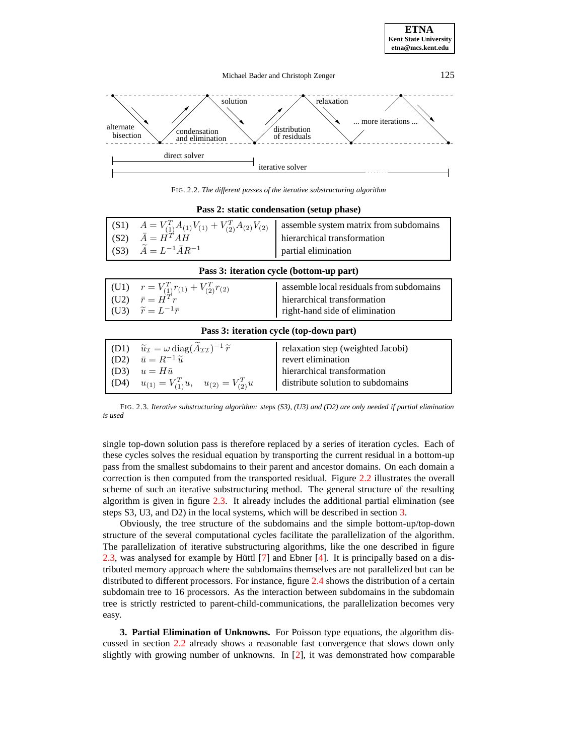

FIG. 2.2. *The different passes of the iterative substructuring algorithm*

| Pass 2: static condensation (setup phase) |                                                                                                                                                   |                                                                                                           |  |  |
|-------------------------------------------|---------------------------------------------------------------------------------------------------------------------------------------------------|-----------------------------------------------------------------------------------------------------------|--|--|
|                                           | (S1) $A = V_{(1)}^T A_{(1)} V_{(1)} + V_{(2)}^T A_{(2)} V_{(2)}$<br>(S2) $\bar{A} = H^T A H$<br>(S3) $\widetilde{A} = L^{-1} \overline{A} R^{-1}$ | assemble system matrix from subdomains<br>hierarchical transformation<br>partial elimination              |  |  |
| Pass 3: iteration cycle (bottom-up part)  |                                                                                                                                                   |                                                                                                           |  |  |
|                                           | (U1) $r = V_{(1)}^T r_{(1)} + V_{(2)}^T r_{(2)}$<br>(U2) $\bar{r} = H^T r$<br>(U3) $\widetilde{r} = L^{-1}\overline{r}$                           | assemble local residuals from subdomains<br>hierarchical transformation<br>right-hand side of elimination |  |  |

### **Pass 2: static condensation (setup phase)**

|  |  |  | Pass 3: iteration cycle (top-down part) |  |
|--|--|--|-----------------------------------------|--|
|--|--|--|-----------------------------------------|--|

| (D1) | $\widetilde{u}_{\mathcal{I}} = \omega \operatorname{diag}(\widetilde{A}_{\mathcal{I}\mathcal{I}})^{-1} \widetilde{r}$ | relaxation step (weighted Jacobi) |
|------|-----------------------------------------------------------------------------------------------------------------------|-----------------------------------|
| (D2) | $\bar{u} = R^{-1} \tilde{u}$                                                                                          | revert elimination                |
| (D3) | $u=H\bar{u}$                                                                                                          | hierarchical transformation       |
| (D4) | $u_{(1)} = V_{(1)}^T u, \quad u_{(2)} = V_{(2)}^T u$                                                                  | distribute solution to subdomains |

FIG. 2.3. *Iterative substructuring algorithm: steps (S3), (U3) and (D2) are only needed if partial elimination is used*

single top-down solution pass is therefore replaced by a series of iteration cycles. Each of these cycles solves the residual equation by transporting the current residual in a bottom-up pass from the smallest subdomains to their parent and ancestor domains. On each domain a correction is then computed from the transported residual. Figure [2.2](#page-7-0) illustrates the overall scheme of such an iterative substructuring method. The general structure of the resulting algorithm is given in figure [2.3.](#page-8-0) It already includes the additional partial elimination (see steps S3, U3, and D2) in the local systems, which will be described in section [3.](#page-3-0)

Obviously, the tree structure of the subdomains and the simple bottom-up/top-down structure of the several computational cycles facilitate the parallelization of the algorithm. The parallelization of iterative substructuring algorithms, like the one described in figure [2.3,](#page-8-0) was analysed for example by Hüttl  $[7]$  and Ebner [\[4\]](#page-9-5). It is principally based on a distributed memory approach where the subdomains themselves are not parallelized but can be distributed to different processors. For instance, figure [2.4](#page-8-1) shows the distribution of a certain subdomain tree to 16 processors. As the interaction between subdomains in the subdomain tree is strictly restricted to parent-child-communications, the parallelization becomes very easy.

<span id="page-3-0"></span>**3. Partial Elimination of Unknowns.** For Poisson type equations, the algorithm discussed in section [2.2](#page-2-2) already shows a reasonable fast convergence that slows down only slightly with growing number of unknowns. In [\[2\]](#page-9-6), it was demonstrated how comparable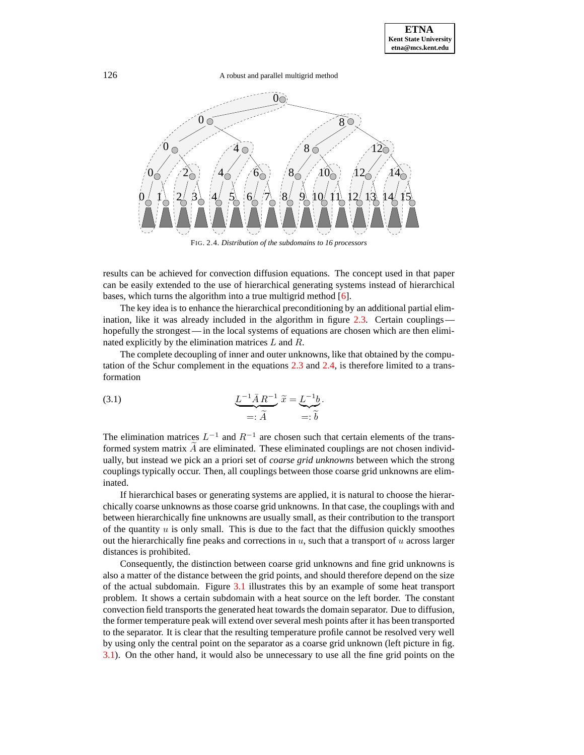126 A robust and parallel multigrid method



FIG. 2.4. *Distribution of the subdomains to 16 processors*

results can be achieved for convection diffusion equations. The concept used in that paper can be easily extended to the use of hierarchical generating systems instead of hierarchical bases, which turns the algorithm into a true multigrid method [\[6\]](#page-9-7).

The key idea is to enhance the hierarchical preconditioning by an additional partial elim-ination, like it was already included in the algorithm in figure [2.3.](#page-8-0) Certain couplings– hopefully the strongest— in the local systems of equations are chosen which are then eliminated explicitly by the elimination matrices  $L$  and  $R$ .

The complete decoupling of inner and outer unknowns, like that obtained by the computation of the Schur complement in the equations [2.3](#page-2-3) and [2.4,](#page-2-4) is therefore limited to a transformation

(3.1) 
$$
\underbrace{L^{-1}\bar{A}R^{-1}}_{=: \widetilde{A}} \widetilde{x} = \underbrace{L^{-1}b}_{=: \widetilde{b}}.
$$

The elimination matrices  $L^{-1}$  and  $R^{-1}$  are chosen such that certain elements of the transformed system matrix  $\vec{A}$  are eliminated. These eliminated couplings are not chosen individually, but instead we pick an a priori set of *coarse grid unknowns* between which the strong couplings typically occur. Then, all couplings between those coarse grid unknowns are eliminated.

If hierarchical bases or generating systems are applied, it is natural to choose the hierarchically coarse unknowns as those coarse grid unknowns. In that case, the couplings with and between hierarchically fine unknowns are usually small, as their contribution to the transport of the quantity  $u$  is only small. This is due to the fact that the diffusion quickly smoothes out the hierarchically fine peaks and corrections in  $u$ , such that a transport of  $u$  across larger distances is prohibited.

Consequently, the distinction between coarse grid unknowns and fine grid unknowns is also a matter of the distance between the grid points, and should therefore depend on the size of the actual subdomain. Figure [3.1](#page-6-1) illustrates this by an example of some heat transport problem. It shows a certain subdomain with a heat source on the left border. The constant convection field transports the generated heat towards the domain separator. Due to diffusion, the former temperature peak will extend over several mesh points after it has been transported to the separator. It is clear that the resulting temperature profile cannot be resolved very well by using only the central point on the separator as a coarse grid unknown (left picture in fig. [3.1\)](#page-6-1). On the other hand, it would also be unnecessary to use all the fine grid points on the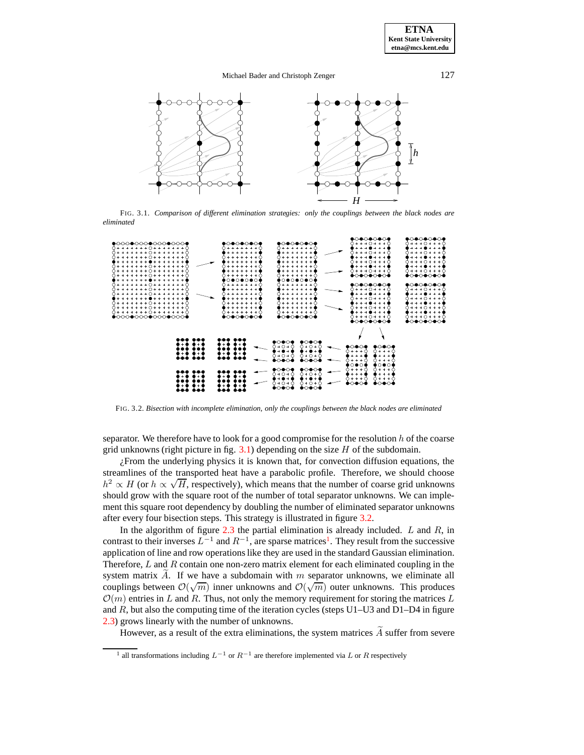### Michael Bader and Christoph Zenger 127



FIG. 3.1. *Comparison of different elimination strategies: only the couplings between the black nodes are eliminated*



FIG. 3.2. *Bisection with incomplete elimination, only the couplings between the black nodes are eliminated*

separator. We therefore have to look for a good compromise for the resolution  $h$  of the coarse grid unknowns (right picture in fig.  $3.1$ ) depending on the size H of the subdomain.

¿From the underlying physics it is known that, for convection diffusion equations, the streamlines of the transported heat have a parabolic profile. Therefore, we should choose  $h^2 \propto H$  (or  $h \propto \sqrt{H}$ , respectively), which means that the number of coarse grid unknowns should grow with the square root of the number of total separator unknowns. We can implement this square root dependency by doubling the number of eliminated separator unknowns after every four bisection steps. This strategy is illustrated in figure [3.2.](#page-7-0)

In the algorithm of figure  $2.3$  the partial elimination is already included. L and R, in contrast to their inverses  $L^{-1}$  $L^{-1}$  $L^{-1}$  and  $R^{-1}$ , are sparse matrices<sup>1</sup>. They result from the successive application of line and row operations like they are used in the standard Gaussian elimination. Therefore,  $L$  and  $R$  contain one non-zero matrix element for each eliminated coupling in the system matrix A. If we have a subdomain with  $m$  separator unknowns, we eliminate all couplings between  $\mathcal{O}(\sqrt{m})$  inner unknowns and  $\mathcal{O}(\sqrt{m})$  outer unknowns. This produces  $\mathcal{O}(m)$  entries in L and R. Thus, not only the memory requirement for storing the matrices L and R, but also the computing time of the iteration cycles (steps  $U1-U3$  and  $D1-D4$  in figure [2.3\)](#page-8-0) grows linearly with the number of unknowns.

However, as a result of the extra eliminations, the system matrices  $\widetilde{A}$  suffer from severe

<span id="page-5-0"></span><sup>&</sup>lt;sup>1</sup> all transformations including  $L^{-1}$  or  $R^{-1}$  are therefore implemented via L or R respectively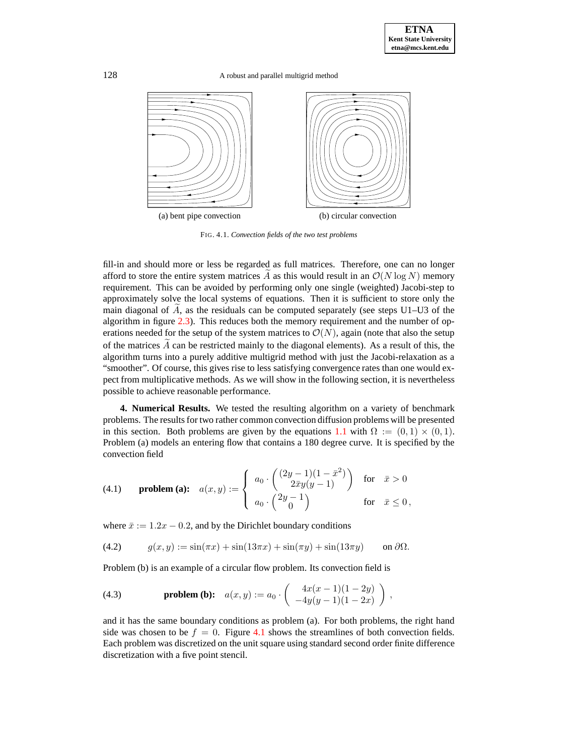128 A robust and parallel multigrid method



<span id="page-6-1"></span>FIG. 4.1. *Convection fields of the two test problems*

fill-in and should more or less be regarded as full matrices. Therefore, one can no longer afford to store the entire system matrices  $\overline{A}$  as this would result in an  $\mathcal{O}(N \log N)$  memory requirement. This can be avoided by performing only one single (weighted) Jacobi-step to approximately solve the local systems of equations. Then it is sufficient to store only the main diagonal of  $A$ , as the residuals can be computed separately (see steps U1–U3 of the algorithm in figure [2.3\)](#page-8-0). This reduces both the memory requirement and the number of operations needed for the setup of the system matrices to  $\mathcal{O}(N)$ , again (note that also the setup of the matrices  $A$  can be restricted mainly to the diagonal elements). As a result of this, the algorithm turns into a purely additive multigrid method with just the Jacobi-relaxation as a "smoother". Of course, this gives rise to less satisfying convergence rates than one would expect from multiplicative methods. As we will show in the following section, it is nevertheless possible to achieve reasonable performance.

<span id="page-6-0"></span>**4. Numerical Results.** We tested the resulting algorithm on a variety of benchmark problems. The results for two rather common convection diffusion problems will be presented in this section. Both problems are given by the equations [1.1](#page-0-0) with  $\Omega := (0,1) \times (0,1)$ . Problem (a) models an entering flow that contains a 180 degree curve. It is specified by the convection field

(4.1) **problem (a):** 
$$
a(x,y) := \begin{cases} a_0 \cdot \begin{pmatrix} (2y-1)(1-\bar{x}^2) \\ 2\bar{x}y(y-1) \end{pmatrix} & \text{for } \bar{x} > 0 \\ a_0 \cdot \begin{pmatrix} 2y-1 \\ 0 \end{pmatrix} & \text{for } \bar{x} \le 0,
$$

where  $\bar{x} := 1.2x - 0.2$ , and by the Dirichlet boundary conditions

(4.2)  $q(x, y) := \sin(\pi x) + \sin(13\pi x) + \sin(\pi y) + \sin(13\pi y)$  on  $\partial\Omega$ .

Problem (b) is an example of a circular flow problem. Its convection field is

(4.3) **problem (b):** 
$$
a(x,y) := a_0 \cdot \begin{pmatrix} 4x(x-1)(1-2y) \\ -4y(y-1)(1-2x) \end{pmatrix}
$$
,

and it has the same boundary conditions as problem (a). For both problems, the right hand side was chosen to be  $f = 0$ . Figure [4.1](#page-6-1) shows the streamlines of both convection fields. Each problem was discretized on the unit square using standard second order finite difference discretization with a five point stencil.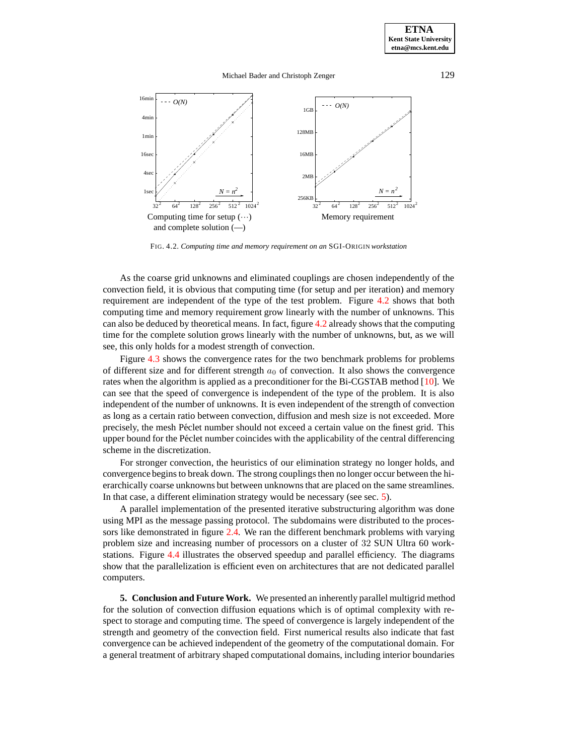### Michael Bader and Christoph Zenger 129



FIG. 4.2. *Computing time and memory requirement on an* SGI-ORIGIN *workstation*

<span id="page-7-0"></span>As the coarse grid unknowns and eliminated couplings are chosen independently of the convection field, it is obvious that computing time (for setup and per iteration) and memory requirement are independent of the type of the test problem. Figure [4.2](#page-7-0) shows that both computing time and memory requirement grow linearly with the number of unknowns. This can also be deduced by theoretical means. In fact, figure [4.2](#page-7-0) already shows that the computing time for the complete solution grows linearly with the number of unknowns, but, as we will see, this only holds for a modest strength of convection.

Figure [4.3](#page-8-0) shows the convergence rates for the two benchmark problems for problems of different size and for different strength  $a_0$  of convection. It also shows the convergence rates when the algorithm is applied as a preconditioner for the Bi-CGSTAB method [\[10\]](#page-9-8). We can see that the speed of convergence is independent of the type of the problem. It is also independent of the number of unknowns. It is even independent of the strength of convection as long as a certain ratio between convection, diffusion and mesh size is not exceeded. More precisely, the mesh Péclet number should not exceed a certain value on the finest grid. This upper bound for the Péclet number coincides with the applicability of the central differencing scheme in the discretization.

For stronger convection, the heuristics of our elimination strategy no longer holds, and convergence beginsto break down. The strong couplingsthen no longer occur between the hierarchically coarse unknowns but between unknownsthat are placed on the same streamlines. In that case, a different elimination strategy would be necessary (see sec. [5\)](#page-7-1).

A parallel implementation of the presented iterative substructuring algorithm was done using MPI as the message passing protocol. The subdomains were distributed to the processors like demonstrated in figure [2.4.](#page-8-1) We ran the different benchmark problems with varying problem size and increasing number of processors on a cluster of 32 SUN Ultra 60 workstations. Figure [4.4](#page-8-1) illustrates the observed speedup and parallel efficiency. The diagrams show that the parallelization is efficient even on architectures that are not dedicated parallel computers.

<span id="page-7-1"></span>**5. Conclusion and Future Work.** We presented an inherently parallel multigrid method for the solution of convection diffusion equations which is of optimal complexity with respect to storage and computing time. The speed of convergence is largely independent of the strength and geometry of the convection field. First numerical results also indicate that fast convergence can be achieved independent of the geometry of the computational domain. For a general treatment of arbitrary shaped computational domains, including interior boundaries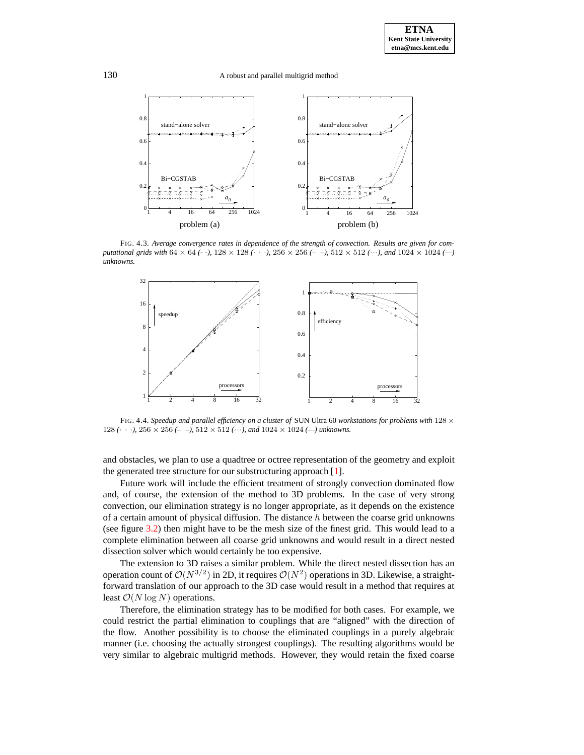130 A robust and parallel multigrid method



<span id="page-8-0"></span>FIG. 4.3. *Average convergence rates in dependence of the strength of convection. Results are given for computational grids with* 64 × 64 *(- -),* 128 × 128 *(*· · ·*),* 256 × 256 *(– –),* 512 × 512 *(*···*), and* 1024 × 1024 *(—) unknowns.*



<span id="page-8-1"></span>FIG. 4.4. *Speedup and parallel efficiency on a cluster of* SUN Ultra 60 *workstations for problems with* 128 × 128  $(\cdot \cdot \cdot)$ , 256  $\times$  256  $(-$  - $)$ , 512  $\times$  512  $(\cdot \cdot \cdot)$ , and 1024  $\times$  1024  $(-)$  *unknowns.* 

and obstacles, we plan to use a quadtree or octree representation of the geometry and exploit the generated tree structure for our substructuring approach [\[1\]](#page-9-9).

Future work will include the efficient treatment of strongly convection dominated flow and, of course, the extension of the method to 3D problems. In the case of very strong convection, our elimination strategy is no longer appropriate, as it depends on the existence of a certain amount of physical diffusion. The distance  $h$  between the coarse grid unknowns (see figure [3.2\)](#page-7-0) then might have to be the mesh size of the finest grid. This would lead to a complete elimination between all coarse grid unknowns and would result in a direct nested dissection solver which would certainly be too expensive.

The extension to 3D raises a similar problem. While the direct nested dissection has an operation count of  $\mathcal{O}(N^{3/2})$  in 2D, it requires  $\mathcal{O}(N^2)$  operations in 3D. Likewise, a straightforward translation of our approach to the 3D case would result in a method that requires at least  $\mathcal{O}(N \log N)$  operations.

Therefore, the elimination strategy has to be modified for both cases. For example, we could restrict the partial elimination to couplings that are "aligned" with the direction of the flow. Another possibility is to choose the eliminated couplings in a purely algebraic manner (i.e. choosing the actually strongest couplings). The resulting algorithms would be very similar to algebraic multigrid methods. However, they would retain the fixed coarse